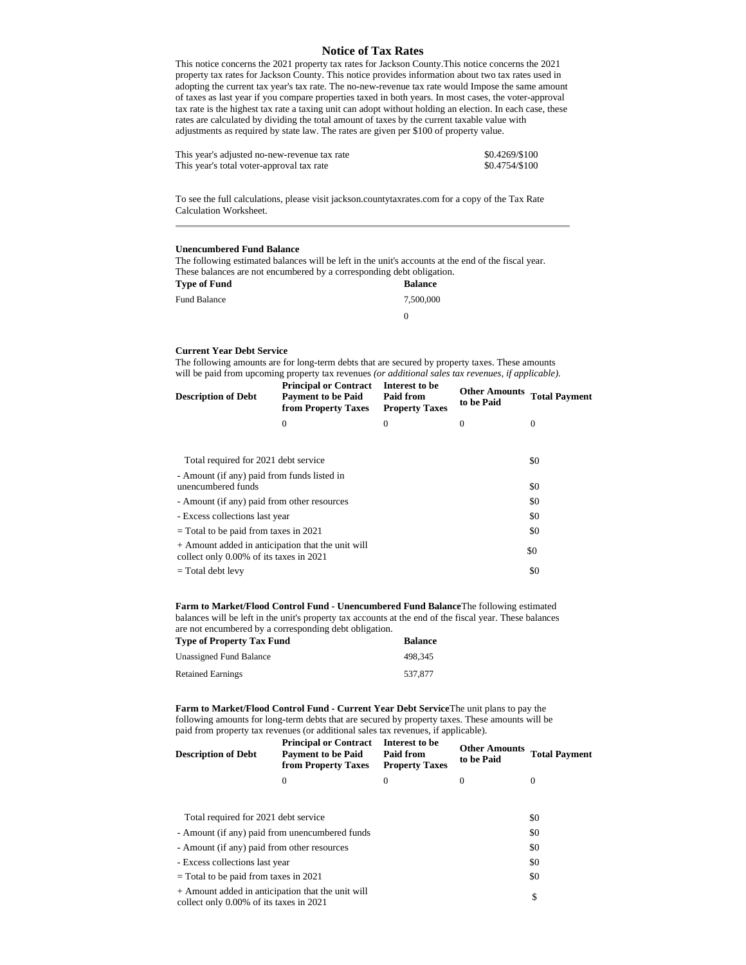## **Notice of Tax Rates**

This notice concerns the 2021 property tax rates for Jackson County.This notice concerns the 2021 property tax rates for Jackson County. This notice provides information about two tax rates used in adopting the current tax year's tax rate. The no-new-revenue tax rate would Impose the same amount of taxes as last year if you compare properties taxed in both years. In most cases, the voter-approval tax rate is the highest tax rate a taxing unit can adopt without holding an election. In each case, these rates are calculated by dividing the total amount of taxes by the current taxable value with adjustments as required by state law. The rates are given per \$100 of property value.

| This year's adjusted no-new-revenue tax rate | \$0.4269/\$100 |
|----------------------------------------------|----------------|
| This year's total voter-approval tax rate    | \$0.4754/\$100 |

To see the full calculations, please visit jackson.countytaxrates.com for a copy of the Tax Rate Calculation Worksheet.

## **Unencumbered Fund Balance**

The following estimated balances will be left in the unit's accounts at the end of the fiscal year. These balances are not encumbered by a corresponding debt obligation.<br>These of Fanal

| Type of Fund | <b>Balance</b> |
|--------------|----------------|
| Fund Balance | 7.500.000      |
|              | O              |

## **Current Year Debt Service**

The following amounts are for long-term debts that are secured by property taxes. These amounts will be paid from upcoming property tax revenues *(or additional sales tax revenues, if applicable).*

| <b>Description of Debt</b>                                                                   | <b>Principal or Contract</b><br><b>Payment to be Paid</b><br>from Property Taxes | Interest to be<br>Paid from<br><b>Property Taxes</b> | <b>Other Amounts</b><br>to be Paid | <b>Total Payment</b> |
|----------------------------------------------------------------------------------------------|----------------------------------------------------------------------------------|------------------------------------------------------|------------------------------------|----------------------|
|                                                                                              | $\Omega$                                                                         | $\Omega$                                             | $\Omega$                           | 0                    |
|                                                                                              |                                                                                  |                                                      |                                    |                      |
| Total required for 2021 debt service                                                         |                                                                                  |                                                      |                                    | \$0                  |
| - Amount (if any) paid from funds listed in<br>unencumbered funds                            |                                                                                  |                                                      |                                    | \$0                  |
| - Amount (if any) paid from other resources                                                  |                                                                                  |                                                      |                                    | \$0                  |
| - Excess collections last year                                                               |                                                                                  |                                                      |                                    | \$0                  |
| $=$ Total to be paid from taxes in 2021                                                      |                                                                                  |                                                      |                                    | \$0                  |
| + Amount added in anticipation that the unit will<br>collect only 0.00% of its taxes in 2021 |                                                                                  |                                                      |                                    | \$0                  |
| $=$ Total debt levy                                                                          |                                                                                  |                                                      |                                    | \$0                  |

**Farm to Market/Flood Control Fund - Unencumbered Fund Balance**The following estimated balances will be left in the unit's property tax accounts at the end of the fiscal year. These balances are not encumbered by a corresponding debt obligation.

| <b>Type of Property Tax Fund</b> | Balance |
|----------------------------------|---------|
| Unassigned Fund Balance          | 498.345 |
| Retained Earnings                | 537,877 |

**Farm to Market/Flood Control Fund - Current Year Debt Service**The unit plans to pay the following amounts for long-term debts that are secured by property taxes. These amounts will be paid from property tax revenues (or additional sales tax revenues, if applicable).

| <b>Description of Debt</b> | <b>Principal or Contract</b><br><b>Payment to be Paid</b><br>from Property Taxes | Interest to be<br>Paid from<br><b>Property Taxes</b> | <b>Other Amounts</b> Total Payment<br>to be Paid |  |
|----------------------------|----------------------------------------------------------------------------------|------------------------------------------------------|--------------------------------------------------|--|
|                            |                                                                                  |                                                      |                                                  |  |
|                            |                                                                                  |                                                      |                                                  |  |

| Total required for 2021 debt service                                                         | \$0 |
|----------------------------------------------------------------------------------------------|-----|
| - Amount (if any) paid from unencumbered funds                                               | \$0 |
| - Amount (if any) paid from other resources                                                  | \$0 |
| - Excess collections last year                                                               | \$0 |
| = Total to be paid from taxes in 2021                                                        | \$0 |
| + Amount added in anticipation that the unit will<br>collect only 0.00% of its taxes in 2021 | S   |